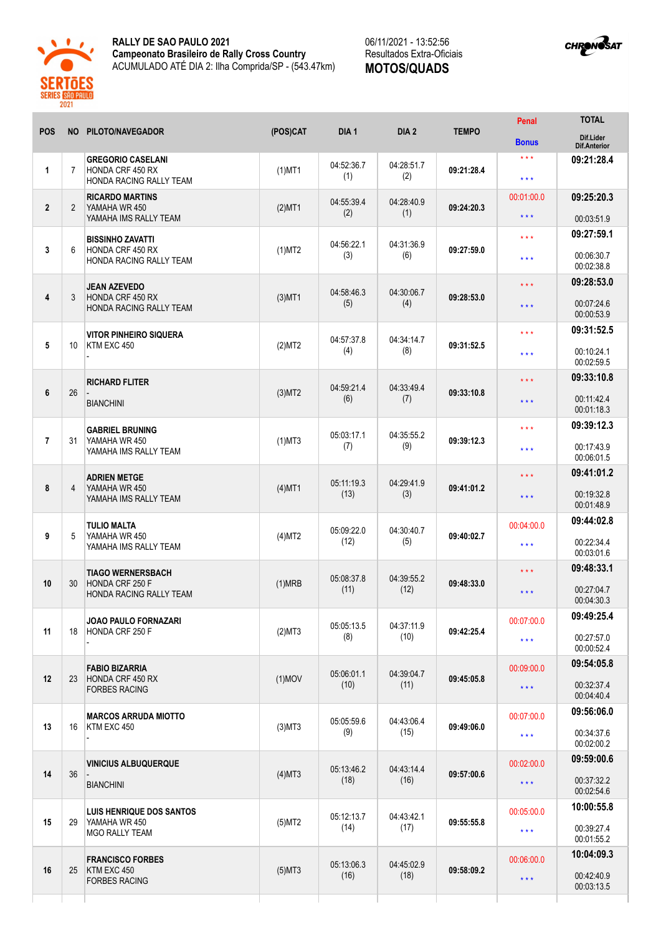

## **RALLY DE SAO PAULO 2021 Campeonato Brasileiro de Rally Cross Country** ACUMULADO ATÉ DIA 2: Ilha Comprida/SP - (543.47km)

06/11/2021 - 13:52:56 Resultados Extra-Oficiais **MOTOS/QUADS**



| <b>POS</b>     |                 | NO PILOTO/NAVEGADOR                                                     | (POS)CAT  | DIA <sub>1</sub>   | DIA <sub>2</sub>   | <b>TEMPO</b> | Penal                   | <b>TOTAL</b>                     |
|----------------|-----------------|-------------------------------------------------------------------------|-----------|--------------------|--------------------|--------------|-------------------------|----------------------------------|
|                |                 |                                                                         |           |                    |                    |              | <b>Bonus</b>            | Dif.Lider<br><b>Dif.Anterior</b> |
| 1              | $\overline{7}$  | <b>GREGORIO CASELANI</b><br>HONDA CRF 450 RX<br>HONDA RACING RALLY TEAM | $(1)$ MT1 | 04:52:36.7<br>(1)  | 04:28:51.7<br>(2)  | 09:21:28.4   | $* * *$<br>$***$        | 09:21:28.4                       |
| $\overline{2}$ | $\overline{2}$  | <b>RICARDO MARTINS</b><br>YAMAHA WR 450<br>YAMAHA IMS RALLY TEAM        | $(2)$ MT1 | 04:55:39.4<br>(2)  | 04:28:40.9<br>(1)  | 09:24:20.3   | 00:01:00.0              | 09:25:20.3                       |
|                |                 |                                                                         |           |                    |                    |              | $***$                   | 00:03:51.9<br>09:27:59.1         |
| 3              | 6               | <b>BISSINHO ZAVATTI</b><br>HONDA CRF 450 RX<br>HONDA RACING RALLY TEAM  | $(1)$ MT2 | 04:56:22.1<br>(3)  | 04:31:36.9<br>(6)  | 09:27:59.0   | $***$<br>$***$          | 00:06:30.7                       |
|                |                 |                                                                         |           |                    |                    |              | $\star$ $\star$ $\star$ | 00:02:38.8<br>09:28:53.0         |
| 4              | 3               | <b>JEAN AZEVEDO</b><br>HONDA CRF 450 RX<br>HONDA RACING RALLY TEAM      | $(3)$ MT1 | 04:58:46.3<br>(5)  | 04:30:06.7<br>(4)  | 09:28:53.0   | $\star$ $\star$ $\star$ | 00:07:24.6<br>00:00:53.9         |
|                |                 | <b>VITOR PINHEIRO SIQUERA</b>                                           |           |                    |                    | 09:31:52.5   | $\star \star \star$     | 09:31:52.5                       |
| 5              | 10 <sup>°</sup> | KTM EXC 450                                                             | (2)MT2    | 04:57:37.8<br>(4)  | 04:34:14.7<br>(8)  |              | $***$                   | 00:10:24.1<br>00:02:59.5         |
|                |                 | <b>RICHARD FLITER</b>                                                   | (3)MT2    | 04:59:21.4<br>(6)  | 04:33:49.4<br>(7)  | 09:33:10.8   | $\star$ $\star$ $\star$ | 09:33:10.8                       |
| 6              | 26              | <b>BIANCHINI</b>                                                        |           |                    |                    |              | $\star$ $\star$ $\star$ | 00:11:42.4<br>00:01:18.3         |
|                |                 | <b>GABRIEL BRUNING</b><br>YAMAHA WR 450<br>YAMAHA IMS RALLY TEAM        | $(1)$ MT3 | 05:03:17.1<br>(7)  | 04:35:55.2<br>(9)  | 09:39:12.3   | $\star$ $\star$ $\star$ | 09:39:12.3                       |
| $\overline{7}$ | 31              |                                                                         |           |                    |                    |              | $***$                   | 00:17:43.9<br>00:06:01.5         |
|                | $\overline{4}$  | <b>ADRIEN METGE</b><br>YAMAHA WR 450<br>YAMAHA IMS RALLY TEAM           | $(4)$ MT1 | 05:11:19.3<br>(13) | 04:29:41.9<br>(3)  | 09:41:01.2   | $\star \star \star$     | 09:41:01.2                       |
| 8              |                 |                                                                         |           |                    |                    |              | $\star$ $\star$ $\star$ | 00:19:32.8<br>00:01:48.9         |
|                | 5               | <b>TULIO MALTA</b><br>YAMAHA WR 450<br>YAMAHA IMS RALLY TEAM            | (4)MT2    | 05:09:22.0<br>(12) | 04:30:40.7<br>(5)  | 09:40:02.7   | 00:04:00.0              | 09:44:02.8                       |
| 9              |                 |                                                                         |           |                    |                    |              | $***$                   | 00:22:34.4<br>00:03:01.6         |
|                |                 | <b>TIAGO WERNERSBACH</b>                                                |           | 05:08:37.8         | 04:39:55.2         | 09:48:33.0   | $\star$ $\star$ $\star$ | 09:48:33.1                       |
| 10             | 30              | HONDA CRF 250 F<br>HONDA RACING RALLY TEAM                              | (1)MRB    | (11)               | (12)               |              | $\star \star \star$     | 00:27:04.7<br>00:04:30.3         |
|                |                 | JOAO PAULO FORNAZARI                                                    |           | 05:05:13.5         | 04:37:11.9         |              | 00:07:00.0              | 09:49:25.4                       |
| 11             | 18              | HONDA CRF 250 F                                                         | (2)MT3    | (8)                | (10)               | 09:42:25.4   | $\star \star \star$     | 00:27:57.0<br>00:00:52.4         |
|                |                 | <b>FABIO BIZARRIA</b><br>HONDA CRF 450 RX<br><b>FORBES RACING</b>       | $(1)$ MOV | 05:06:01.1<br>(10) | 04:39:04.7<br>(11) | 09:45:05.8   | 00:09:00.0              | 09:54:05.8                       |
| 12             | 23              |                                                                         |           |                    |                    |              | $\star$ $\star$ $\star$ | 00:32:37.4<br>00:04:40.4         |
|                | 16              | <b>MARCOS ARRUDA MIOTTO</b><br>KTM EXC 450                              | $(3)$ MT3 | 05:05:59.6<br>(9)  | 04:43:06.4<br>(15) | 09:49:06.0   | 00:07:00.0              | 09:56:06.0                       |
| 13             |                 |                                                                         |           |                    |                    |              | $\star$ $\star$ $\star$ | 00:34:37.6<br>00:02:00.2         |
|                | 36              | <b>VINICIUS ALBUQUERQUE</b><br><b>BIANCHINI</b>                         | $(4)$ MT3 | 05:13:46.2<br>(18) | 04:43:14.4<br>(16) | 09:57:00.6   | 00:02:00.0              | 09:59:00.6                       |
| 14             |                 |                                                                         |           |                    |                    |              | $\star$ $\star$ $\star$ | 00:37:32.2<br>00:02:54.6         |
|                | 29              | LUIS HENRIQUE DOS SANTOS<br>YAMAHA WR 450<br><b>MGO RALLY TEAM</b>      | (5)MT2    | 05:12:13.7<br>(14) | 04:43:42.1<br>(17) | 09:55:55.8   | 00:05:00.0              | 10:00:55.8                       |
| 15             |                 |                                                                         |           |                    |                    |              | $\star$ $\star$ $\star$ | 00:39:27.4<br>00:01:55.2         |
| 16             |                 | <b>FRANCISCO FORBES</b><br>KTM EXC 450<br><b>FORBES RACING</b>          | $(5)$ MT3 | 05:13:06.3<br>(16) | 04:45:02.9<br>(18) | 09:58:09.2   | 00:06:00.0              | 10:04:09.3                       |
|                | 25              |                                                                         |           |                    |                    |              | $\star$ $\star$ $\star$ | 00:42:40.9                       |
|                |                 |                                                                         |           |                    |                    |              |                         | 00:03:13.5                       |